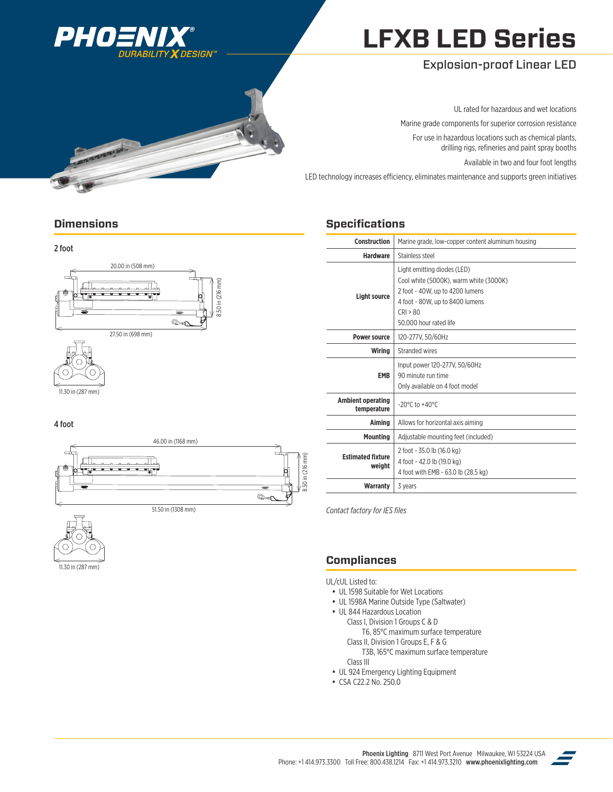

# **LFXB LED Series**

#### Explosion-proof Linear LED



UL rated for hazardous and wet locations

Marine grade components for superior corrosion resistance

For use in hazardous locations such as chemical plants,

drilling rigs, refineries and paint spray booths

Available in two and four foot lengths

LED technology increases efficiency, eliminates maintenance and supports green initiatives

**Construction** | Marine grade, low-copper content aluminum housing

#### **Dimensions**



#### 4 foot

.<br>11.30 in (287 mm)





*Contact factory for IES files*

**Specifications**

**Hardware** | Stainless steel

#### **Compliances**

- UL/cUL Listed to:
- UL 1598 Suitable for Wet Locations
- UL 1598A Marine Outside Type (Saltwater)
- UL 844 Hazardous Location
	- Class I, Division 1 Groups C & D
	- T6, 85°C maximum surface temperature Class II, Division 1 Groups E, F & G
		- T3B, 165°C maximum surface temperature
	- Class III
- UL 924 Emergency Lighting Equipment
- CSA C22.2 No. 250.0



11.30 in (287 mm)